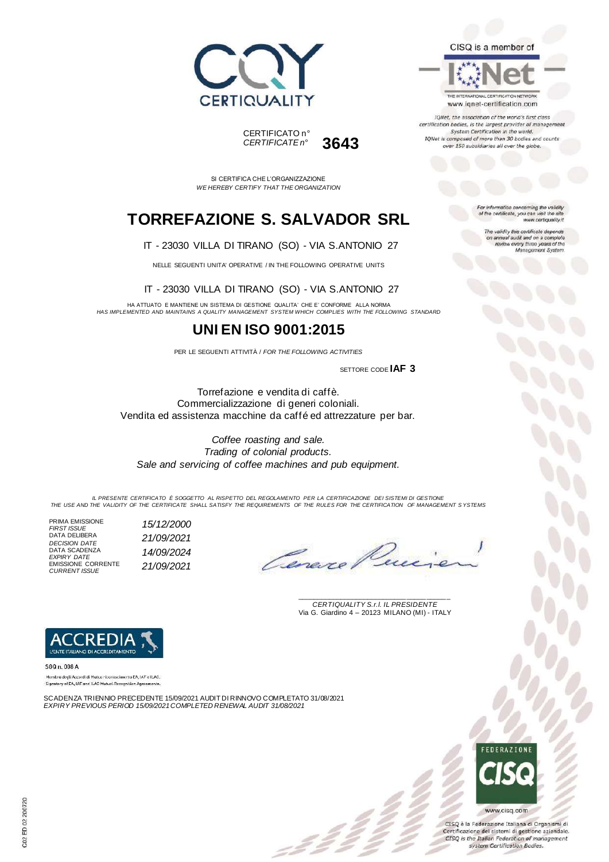



SI CERTIFICA CHE L'ORGANIZZAZIONE *WE HEREBY CERTIFY THAT THE ORGANIZATION*

## **TORREFAZIONE S. SALVADOR SRL**

IT - 23030 VILLA DI TIRANO (SO) - VIA S.ANTONIO 27

NELLE SEGUENTI UNITA' OPERATIVE / IN THE FOLLOWING OPERATIVE UNITS

IT - 23030 VILLA DI TIRANO (SO) - VIA S.ANTONIO 27

HA ATTUATO E MANTIENE UN SISTEMA DI GESTIONE QUALITA' CHE E' CONFORME ALLA NORMA *HAS IMPLEMENTED AND MAINTAINS A QUALITY MANAGEMENT SYSTEM WHICH COMPLIES WITH THE FOLLOWING STANDARD*

### **UNI EN ISO 9001:2015**

PER LE SEGUENTI ATTIVITÀ / *FOR THE FOLLOWING ACTIVITIES*

SETTORE CODE **IAF 3**

Torrefazione e vendita di caffè. Commercializzazione di generi coloniali. Vendita ed assistenza macchine da caffé ed attrezzature per bar.

*Coffee roasting and sale. Trading of colonial products. Sale and servicing of coffee machines and pub equipment.*

*IL PRESENTE CERTIFICATO È SOGGETTO AL RISPETTO DEL REGOLAMENTO PER LA CERTIFICAZIONE DEI SISTEMI DI GESTIONE THE USE AND THE VALIDITY OF THE CERTIFICATE SHALL SATISFY THE REQUIREMENTS OF THE RULES FOR THE CERTIFICATION OF MANAGEMENT S YSTEMS*

PRIMA EMISSIONE *FIRST ISSUE 15/12/2000* DATA DELIBERA DATA DELIBERA<br>*DECISION DATE*<br>DATA SCADENZA<br>*EXPIPY DATE* **14/09/2024** DATA SCADENZA *EXPIRY DATE 14/09/2024* EMISSIONE CORRENTE *CURRENT ISSUE 21/09/2021*

Cena

\_\_\_\_\_\_\_\_\_\_\_\_\_\_\_\_\_\_\_\_\_\_\_\_\_\_\_\_\_\_\_\_\_\_\_\_\_\_\_ *CERTIQUALITY S.r.l. IL PRESIDENTE* Via G. Giardino 4 – 20123 MILANO (MI) - ITALY



SGQ n. 008 A

Membre degli Accordi di Mutua riconoscimento EA, IAF e ILAC. Signatory of EA, IAF and ILAC Mutual Recognition Agreen

SCADENZA TRIENNIO PRECEDENTE 15/09/2021 AUDIT DI RINNOVO COMPLETATO 31/08/2021 *EXPIRY PREVIOUS PERIOD 15/09/2021COMPLETED RENEWAL AUDIT 31/08/2021*



CISQ è la Federazione Italiana di Organismi di Certificazione dei sistemi di gestione aziendale CISQ is the Italian Federation of management system Certification Bodies.

or information concerning the validity of the certificate, you can visit the si www.certiquality.it

> The validity this certificate depends on annual audit and on a complete<br>review every three years of the<br>Menagement System.

CISQ is a member of



IONet, the association of the world's first class certification bodies, is the largest provider of manage System Certification in the world.<br>IQNet is composed of more than 30 bodies and counts over 150 subsidiaries all over the globe.